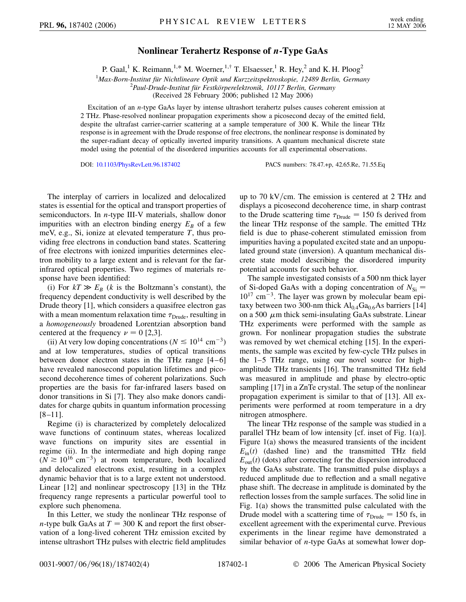## **Nonlinear Terahertz Response of** *n***-Type GaAs**

P. Gaal,<sup>1</sup> K. Reimann,<sup>1,\*</sup> M. Woerner,<sup>1,†</sup> T. Elsaesser,<sup>1</sup> R. Hey,<sup>2</sup> and K. H. Ploog<sup>2</sup>

<sup>1</sup>Max-Born-Institut für Nichtlineare Optik und Kurzzeitspektroskopie, 12489 Berlin, Germany<br><sup>2</sup>Paul Drude Institut für Eestkörnerelektronik 10117 Berlin, Germany

*Paul-Drude-Institut fu¨r Festko¨rperelektronik, 10117 Berlin, Germany*

(Received 28 February 2006; published 12 May 2006)

Excitation of an *n*-type GaAs layer by intense ultrashort terahertz pulses causes coherent emission at 2 THz. Phase-resolved nonlinear propagation experiments show a picosecond decay of the emitted field, despite the ultrafast carrier-carrier scattering at a sample temperature of 300 K. While the linear THz response is in agreement with the Drude response of free electrons, the nonlinear response is dominated by the super-radiant decay of optically inverted impurity transitions. A quantum mechanical discrete state model using the potential of the disordered impurities accounts for all experimental observations.

DOI: [10.1103/PhysRevLett.96.187402](http://dx.doi.org/10.1103/PhysRevLett.96.187402) PACS numbers: 78.47.+p, 42.65.Re, 71.55.Eq

The interplay of carriers in localized and delocalized states is essential for the optical and transport properties of semiconductors. In *n*-type III-V materials, shallow donor impurities with an electron binding energy  $E_B$  of a few meV, e.g., Si, ionize at elevated temperature *T*, thus providing free electrons in conduction band states. Scattering of free electrons with ionized impurities determines electron mobility to a large extent and is relevant for the farinfrared optical properties. Two regimes of materials response have been identified:

(i) For  $kT \gg E_B$  (*k* is the Boltzmann's constant), the frequency dependent conductivity is well described by the Drude theory [1], which considers a quasifree electron gas with a mean momentum relaxation time  $\tau_{Drude}$ , resulting in a *homogeneously* broadened Lorentzian absorption band centered at the frequency  $\nu = 0$  [2,3].

(ii) At very low doping concentrations ( $N \le 10^{14}$  cm<sup>-3</sup>) and at low temperatures, studies of optical transitions between donor electron states in the THz range [4–6] have revealed nanosecond population lifetimes and picosecond decoherence times of coherent polarizations. Such properties are the basis for far-infrared lasers based on donor transitions in Si [7]. They also make donors candidates for charge qubits in quantum information processing [8–11].

Regime (i) is characterized by completely delocalized wave functions of continuum states, whereas localized wave functions on impurity sites are essential in regime (ii). In the intermediate and high doping range  $(N \ge 10^{16} \text{ cm}^{-3})$  at room temperature, both localized and delocalized electrons exist, resulting in a complex dynamic behavior that is to a large extent not understood. Linear [12] and nonlinear spectroscopy [13] in the THz frequency range represents a particular powerful tool to explore such phenomena.

In this Letter, we study the nonlinear THz response of *n*-type bulk GaAs at  $T = 300$  K and report the first observation of a long-lived coherent THz emission excited by intense ultrashort THz pulses with electric field amplitudes up to 70 kV/cm. The emission is centered at 2 THz and displays a picosecond decoherence time, in sharp contrast to the Drude scattering time  $\tau_{Drude} = 150$  fs derived from the linear THz response of the sample. The emitted THz field is due to phase-coherent stimulated emission from impurities having a populated excited state and an unpopulated ground state (inversion). A quantum mechanical discrete state model describing the disordered impurity potential accounts for such behavior.

The sample investigated consists of a 500 nm thick layer of Si-doped GaAs with a doping concentration of  $N_{\text{Si}} =$  $10^{17}$  cm<sup>-3</sup>. The layer was grown by molecular beam epitaxy between two 300-nm thick  $Al_{0.4}Ga_{0.6}As$  barriers [14] on a 500  $\mu$ m thick semi-insulating GaAs substrate. Linear THz experiments were performed with the sample as grown. For nonlinear propagation studies the substrate was removed by wet chemical etching [15]. In the experiments, the sample was excited by few-cycle THz pulses in the 1–5 THz range, using our novel source for highamplitude THz transients [16]. The transmitted THz field was measured in amplitude and phase by electro-optic sampling [17] in a ZnTe crystal. The setup of the nonlinear propagation experiment is similar to that of [13]. All experiments were performed at room temperature in a dry nitrogen atmosphere.

The linear THz response of the sample was studied in a parallel THz beam of low intensity [cf. inset of Fig. 1(a)]. Figure 1(a) shows the measured transients of the incident  $E_{\text{in}}(t)$  (dashed line) and the transmitted THz field  $E_{\text{out}}(t)$  (dots) after correcting for the dispersion introduced by the GaAs substrate. The transmitted pulse displays a reduced amplitude due to reflection and a small negative phase shift. The decrease in amplitude is dominated by the reflection losses from the sample surfaces. The solid line in Fig. 1(a) shows the transmitted pulse calculated with the Drude model with a scattering time of  $\tau_{Drude} = 150$  fs, in excellent agreement with the experimental curve. Previous experiments in the linear regime have demonstrated a similar behavior of *n*-type GaAs at somewhat lower dop-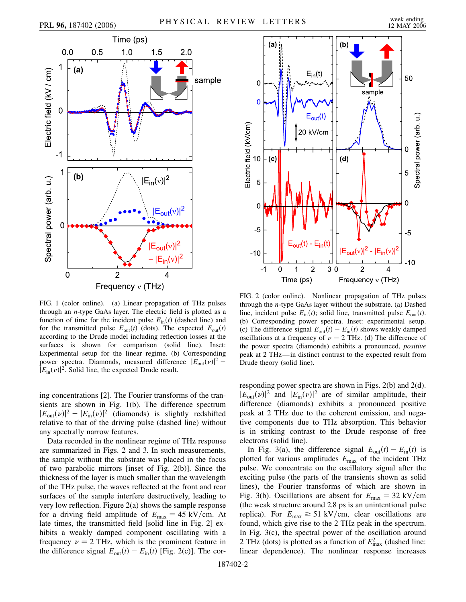

FIG. 1 (color online). (a) Linear propagation of THz pulses through an *n*-type GaAs layer. The electric field is plotted as a function of time for the incident pulse  $E_{\text{in}}(t)$  (dashed line) and for the transmitted pulse  $E_{\text{out}}(t)$  (dots). The expected  $E_{\text{out}}(t)$ according to the Drude model including reflection losses at the surfaces is shown for comparison (solid line). Inset: Experimental setup for the linear regime. (b) Corresponding power spectra. Diamonds, measured difference  $|E_{\text{out}}(v)|^2$  –  $|E_{\text{in}}(\nu)|^2$ . Solid line, the expected Drude result.

ing concentrations [2]. The Fourier transforms of the transients are shown in Fig. 1(b). The difference spectrum  $|E_{\text{out}}(\nu)|^2 - |E_{\text{in}}(\nu)|^2$  (diamonds) is slightly redshifted relative to that of the driving pulse (dashed line) without any spectrally narrow features.

Data recorded in the nonlinear regime of THz response are summarized in Figs. 2 and 3. In such measurements, the sample without the substrate was placed in the focus of two parabolic mirrors [inset of Fig. 2(b)]. Since the thickness of the layer is much smaller than the wavelength of the THz pulse, the waves reflected at the front and rear surfaces of the sample interfere destructively, leading to very low reflection. Figure 2(a) shows the sample response for a driving field amplitude of  $E_{\text{max}} = 45 \text{ kV/cm}$ . At late times, the transmitted field [solid line in Fig. 2] exhibits a weakly damped component oscillating with a frequency  $\nu = 2$  THz, which is the prominent feature in the difference signal  $E_{\text{out}}(t) - E_{\text{in}}(t)$  [Fig. 2(c)]. The cor-



FIG. 2 (color online). Nonlinear propagation of THz pulses through the *n*-type GaAs layer without the substrate. (a) Dashed line, incident pulse  $E_{\text{in}}(t)$ ; solid line, transmitted pulse  $E_{\text{out}}(t)$ . (b) Corresponding power spectra. Inset: experimental setup. (c) The difference signal  $E_{\text{out}}(t) - E_{\text{in}}(t)$  shows weakly damped oscillations at a frequency of  $\nu = 2$  THz. (d) The difference of the power spectra (diamonds) exhibits a pronounced, *positive* peak at 2 THz—in distinct contrast to the expected result from Drude theory (solid line).

responding power spectra are shown in Figs. 2(b) and 2(d).  $|E_{\text{out}}(\nu)|^2$  and  $|E_{\text{in}}(\nu)|^2$  are of similar amplitude, their difference (diamonds) exhibits a pronounced positive peak at 2 THz due to the coherent emission, and negative components due to THz absorption. This behavior is in striking contrast to the Drude response of free electrons (solid line).

In Fig. 3(a), the difference signal  $E_{\text{out}}(t) - E_{\text{in}}(t)$  is plotted for various amplitudes *E*max of the incident THz pulse. We concentrate on the oscillatory signal after the exciting pulse (the parts of the transients shown as solid lines), the Fourier transforms of which are shown in Fig. 3(b). Oscillations are absent for  $E_{\text{max}} = 32 \text{ kV/cm}$ (the weak structure around 2.8 ps is an unintentional pulse replica). For  $E_{\text{max}} \ge 51 \text{ kV/cm}$ , clear oscillations are found, which give rise to the 2 THz peak in the spectrum. In Fig. 3(c), the spectral power of the oscillation around 2 THz (dots) is plotted as a function of  $E_{\text{max}}^2$  (dashed line: linear dependence). The nonlinear response increases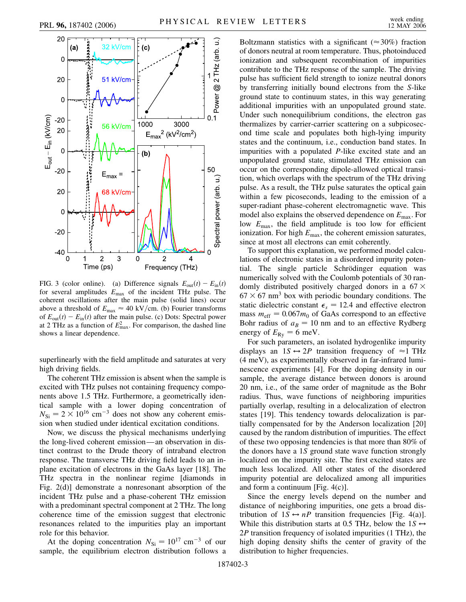

FIG. 3 (color online). (a) Difference signals  $E_{\text{out}}(t) - E_{\text{in}}(t)$ for several amplitudes *E*max of the incident THz pulse. The coherent oscillations after the main pulse (solid lines) occur above a threshold of  $E_{\rm max} \approx 40$  kV/cm. (b) Fourier transforms of  $E_{\text{out}}(t) - E_{\text{in}}(t)$  after the main pulse. (c) Dots: Spectral power at 2 THz as a function of  $E_{\text{max}}^2$ . For comparison, the dashed line shows a linear dependence.

superlinearly with the field amplitude and saturates at very high driving fields.

The coherent THz emission is absent when the sample is excited with THz pulses not containing frequency components above 1.5 THz. Furthermore, a geometrically identical sample with a lower doping concentration of  $N_{\rm Si} = 2 \times 10^{16}$  cm<sup>-3</sup> does not show any coherent emission when studied under identical excitation conditions.

Now, we discuss the physical mechanisms underlying the long-lived coherent emission—an observation in distinct contrast to the Drude theory of intraband electron response. The transverse THz driving field leads to an inplane excitation of electrons in the GaAs layer [18]. The THz spectra in the nonlinear regime [diamonds in Fig. 2(d)] demonstrate a nonresonant absorption of the incident THz pulse and a phase-coherent THz emission with a predominant spectral component at 2 THz. The long coherence time of the emission suggest that electronic resonances related to the impurities play an important role for this behavior.

At the doping concentration  $N_{\text{Si}} = 10^{17} \text{ cm}^{-3}$  of our sample, the equilibrium electron distribution follows a Boltzmann statistics with a significant ( $\approx 30\%$ ) fraction of donors neutral at room temperature. Thus, photoinduced ionization and subsequent recombination of impurities contribute to the THz response of the sample. The driving pulse has sufficient field strength to ionize neutral donors by transferring initially bound electrons from the *S*-like ground state to continuum states, in this way generating additional impurities with an unpopulated ground state. Under such nonequilibrium conditions, the electron gas thermalizes by carrier-carrier scattering on a subpicosecond time scale and populates both high-lying impurity states and the continuum, i.e., conduction band states. In impurities with a populated *P*-like excited state and an unpopulated ground state, stimulated THz emission can occur on the corresponding dipole-allowed optical transition, which overlaps with the spectrum of the THz driving pulse. As a result, the THz pulse saturates the optical gain within a few picoseconds, leading to the emission of a super-radiant phase-coherent electromagnetic wave. This model also explains the observed dependence on *E*max. For low  $E_{\text{max}}$ , the field amplitude is too low for efficient ionization. For high  $E_{\text{max}}$ , the coherent emission saturates, since at most all electrons can emit coherently.

To support this explanation, we performed model calculations of electronic states in a disordered impurity potential. The single particle Schrödinger equation was numerically solved with the Coulomb potentials of 30 randomly distributed positively charged donors in a 67  $\times$  $67 \times 67$  nm<sup>3</sup> box with periodic boundary conditions. The static dielectric constant  $\epsilon_s = 12.4$  and effective electron mass  $m_{\text{eff}} = 0.067m_0$  of GaAs correspond to an effective Bohr radius of  $a_B = 10$  nm and to an effective Rydberg energy of  $E_{\text{Ry}} = 6$  meV.

For such parameters, an isolated hydrogenlike impurity displays an  $1S \leftrightarrow 2P$  transition frequency of  $\approx 1$  THz (4 meV), as experimentally observed in far-infrared luminescence experiments [4]. For the doping density in our sample, the average distance between donors is around 20 nm, i.e., of the same order of magnitude as the Bohr radius. Thus, wave functions of neighboring impurities partially overlap, resulting in a delocalization of electron states [19]. This tendency towards delocalization is partially compensated for by the Anderson localization [20] caused by the random distribution of impurities. The effect of these two opposing tendencies is that more than 80% of the donors have a 1*S* ground state wave function strongly localized on the impurity site. The first excited states are much less localized. All other states of the disordered impurity potential are delocalized among all impurities and form a continuum [Fig. 4(c)].

Since the energy levels depend on the number and distance of neighboring impurities, one gets a broad distribution of  $1S \leftrightarrow nP$  transition frequencies [Fig. 4(a)]. While this distribution starts at 0.5 THz, below the  $1S \leftrightarrow$ 2*P* transition frequency of isolated impurities (1 THz), the high doping density shifts the center of gravity of the distribution to higher frequencies.